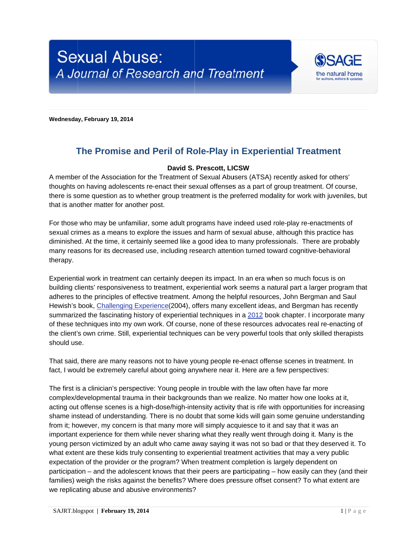

Wednesday, February 19, 2014

## The Promise and Peril of Role-Play in Experiential Treatment

## David S. Prescott, LICSW

A member of the Association for the Treatment of Sexual Abusers (ATSA) recently asked for others' thoughts on having adolescents re-enact their sexual offenses as a part of group treatment. Of course, there is some question as to whether group treatment is the preferred modality for work with juveniles, but that is another matter for another post.

For those who may be unfamiliar, some adult programs have indeed used role-play re-enactments of sexual crimes as a means to explore the issues and harm of sexual abuse, although this practice has diminished. At the time, it certainly seemed like a good idea to many professionals. There are probably many reasons for its decreased use, including research attention turned toward cognitive-behavioral therapy.

Experiential work in treatment can certainly deepen its impact. In an era when so much focus is on building clients' responsiveness to treatment, experiential work seems a natural part a larger program that adheres to the principles of effective treatment. Among the helpful resources, John Bergman and Saul Hewish's book, Challenging Experience(2004), offers many excellent ideas, and Bergman has recently summarized the fascinating history of experiential techniques in a 2012 book chapter. I incorporate many of these techniques into my own work. Of course, none of these resources advocates real re-enacting of the client's own crime. Still, experiential techniques can be very powerful tools that only skilled therapists should use.

That said, there are many reasons not to have young people re-enact offense scenes in treatment. In fact, I would be extremely careful about going anywhere near it. Here are a few perspectives:

The first is a clinician's perspective: Young people in trouble with the law often have far more complex/developmental trauma in their backgrounds than we realize. No matter how one looks at it, acting out offense scenes is a high-dose/high-intensity activity that is rife with opportunities for increasing shame instead of understanding. There is no doubt that some kids will gain some genuine understanding from it; however, my concern is that many more will simply acquiesce to it and say that it was an important experience for them while never sharing what they really went through doing it. Many is the young person victimized by an adult who came away saying it was not so bad or that they deserved it. To what extent are these kids truly consenting to experiential treatment activities that may a very public expectation of the provider or the program? When treatment completion is largely dependent on participation – and the adolescent knows that their peers are participating – how easily can they (and their families) weigh the risks against the benefits? Where does pressure offset consent? To what extent are we replicating abuse and abusive environments?